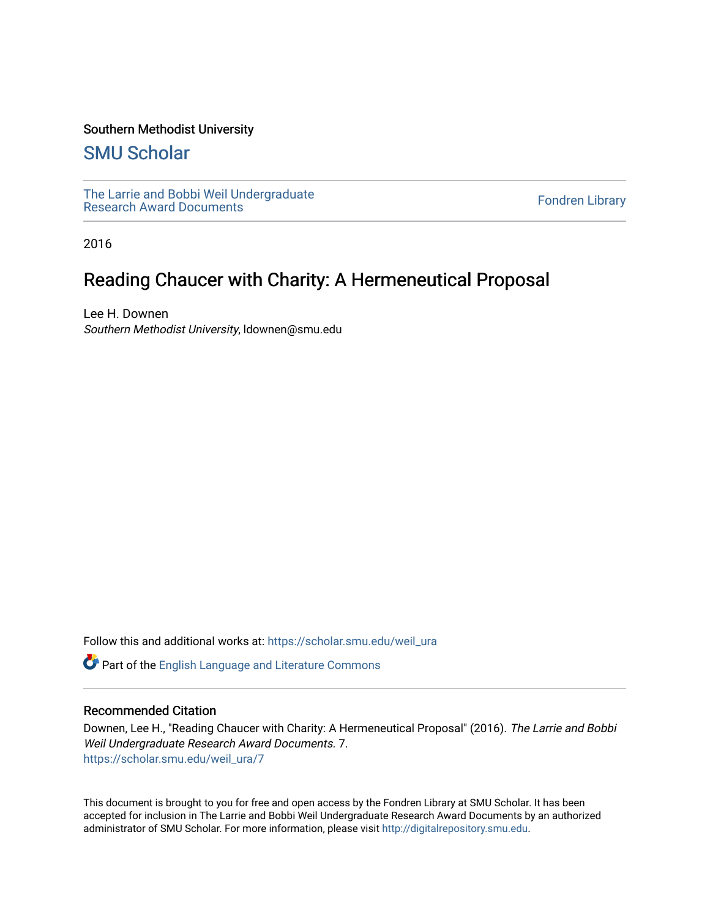## Southern Methodist University

# [SMU Scholar](https://scholar.smu.edu/)

[The Larrie and Bobbi Weil Undergraduate](https://scholar.smu.edu/weil_ura) The Lattle and Bobbi wen Undergraduate<br>[Research Award Documents](https://scholar.smu.edu/weil_ura)

2016

# Reading Chaucer with Charity: A Hermeneutical Proposal

Lee H. Downen Southern Methodist University, ldownen@smu.edu

Follow this and additional works at: [https://scholar.smu.edu/weil\\_ura](https://scholar.smu.edu/weil_ura?utm_source=scholar.smu.edu%2Fweil_ura%2F7&utm_medium=PDF&utm_campaign=PDFCoverPages)

Part of the [English Language and Literature Commons](http://network.bepress.com/hgg/discipline/455?utm_source=scholar.smu.edu%2Fweil_ura%2F7&utm_medium=PDF&utm_campaign=PDFCoverPages)

### Recommended Citation

Downen, Lee H., "Reading Chaucer with Charity: A Hermeneutical Proposal" (2016). The Larrie and Bobbi Weil Undergraduate Research Award Documents. 7. [https://scholar.smu.edu/weil\\_ura/7](https://scholar.smu.edu/weil_ura/7?utm_source=scholar.smu.edu%2Fweil_ura%2F7&utm_medium=PDF&utm_campaign=PDFCoverPages) 

This document is brought to you for free and open access by the Fondren Library at SMU Scholar. It has been accepted for inclusion in The Larrie and Bobbi Weil Undergraduate Research Award Documents by an authorized administrator of SMU Scholar. For more information, please visit [http://digitalrepository.smu.edu](http://digitalrepository.smu.edu/).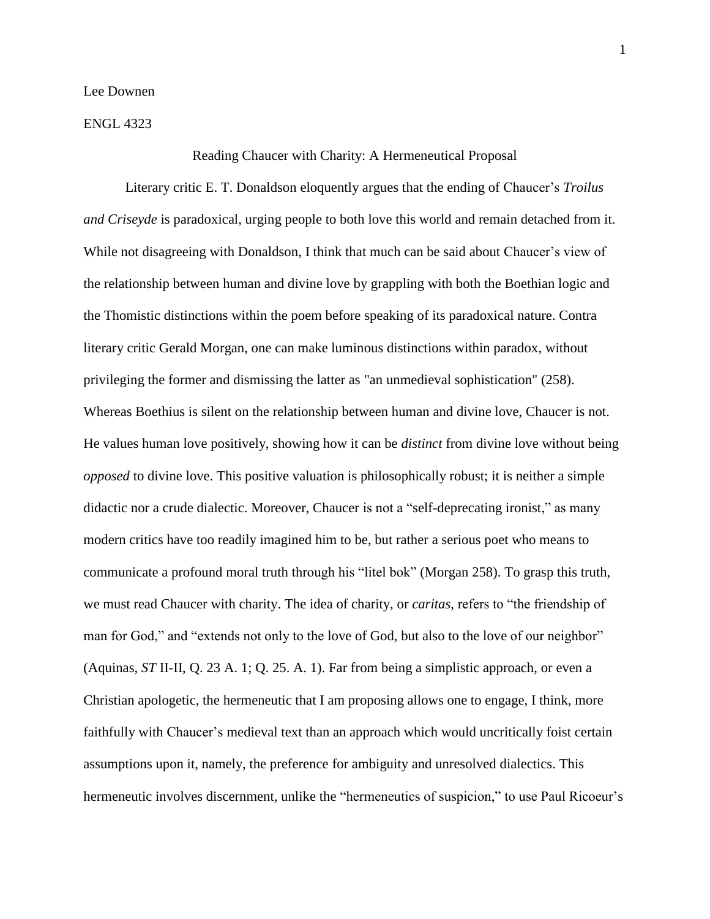Lee Downen

ENGL 4323

#### Reading Chaucer with Charity: A Hermeneutical Proposal

Literary critic E. T. Donaldson eloquently argues that the ending of Chaucer's *Troilus and Criseyde* is paradoxical, urging people to both love this world and remain detached from it. While not disagreeing with Donaldson, I think that much can be said about Chaucer's view of the relationship between human and divine love by grappling with both the Boethian logic and the Thomistic distinctions within the poem before speaking of its paradoxical nature. Contra literary critic Gerald Morgan, one can make luminous distinctions within paradox, without privileging the former and dismissing the latter as "an unmedieval sophistication" (258). Whereas Boethius is silent on the relationship between human and divine love, Chaucer is not. He values human love positively, showing how it can be *distinct* from divine love without being *opposed* to divine love. This positive valuation is philosophically robust; it is neither a simple didactic nor a crude dialectic. Moreover, Chaucer is not a "self-deprecating ironist," as many modern critics have too readily imagined him to be, but rather a serious poet who means to communicate a profound moral truth through his "litel bok" (Morgan 258). To grasp this truth, we must read Chaucer with charity. The idea of charity, or *caritas*, refers to "the friendship of man for God," and "extends not only to the love of God, but also to the love of our neighbor" (Aquinas, *ST* II-II, Q. 23 A. 1; Q. 25. A. 1). Far from being a simplistic approach, or even a Christian apologetic, the hermeneutic that I am proposing allows one to engage, I think, more faithfully with Chaucer's medieval text than an approach which would uncritically foist certain assumptions upon it, namely, the preference for ambiguity and unresolved dialectics. This hermeneutic involves discernment, unlike the "hermeneutics of suspicion," to use Paul Ricoeur's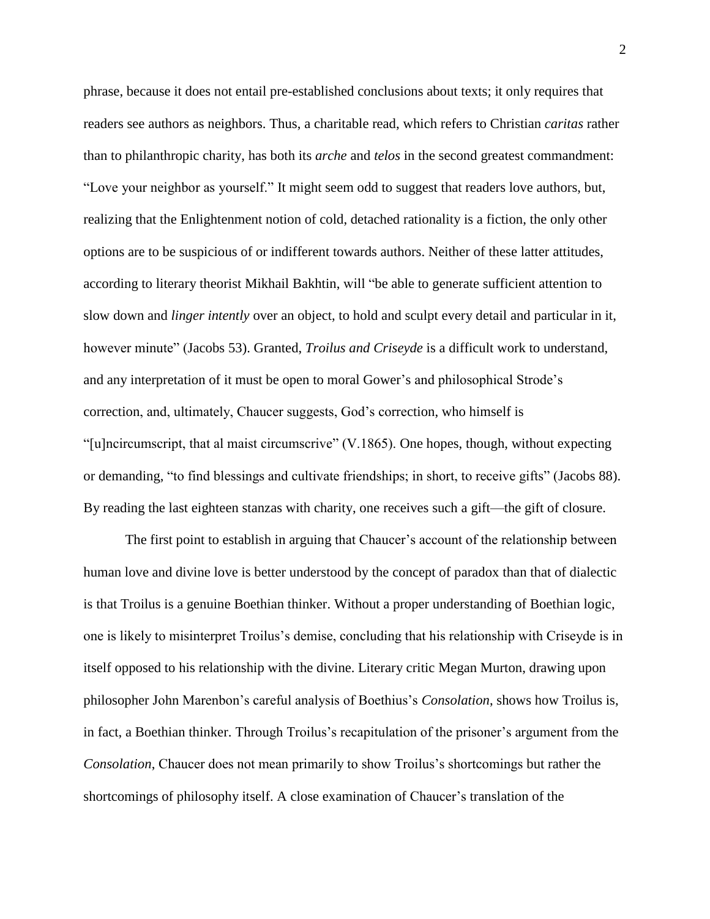phrase, because it does not entail pre-established conclusions about texts; it only requires that readers see authors as neighbors. Thus, a charitable read, which refers to Christian *caritas* rather than to philanthropic charity, has both its *arche* and *telos* in the second greatest commandment: "Love your neighbor as yourself." It might seem odd to suggest that readers love authors, but, realizing that the Enlightenment notion of cold, detached rationality is a fiction, the only other options are to be suspicious of or indifferent towards authors. Neither of these latter attitudes, according to literary theorist Mikhail Bakhtin, will "be able to generate sufficient attention to slow down and *linger intently* over an object, to hold and sculpt every detail and particular in it, however minute" (Jacobs 53). Granted, *Troilus and Criseyde* is a difficult work to understand, and any interpretation of it must be open to moral Gower's and philosophical Strode's correction, and, ultimately, Chaucer suggests, God's correction, who himself is "[u]ncircumscript, that al maist circumscrive" (V.1865). One hopes, though, without expecting or demanding, "to find blessings and cultivate friendships; in short, to receive gifts" (Jacobs 88). By reading the last eighteen stanzas with charity, one receives such a gift—the gift of closure.

The first point to establish in arguing that Chaucer's account of the relationship between human love and divine love is better understood by the concept of paradox than that of dialectic is that Troilus is a genuine Boethian thinker. Without a proper understanding of Boethian logic, one is likely to misinterpret Troilus's demise, concluding that his relationship with Criseyde is in itself opposed to his relationship with the divine. Literary critic Megan Murton, drawing upon philosopher John Marenbon's careful analysis of Boethius's *Consolation*, shows how Troilus is, in fact, a Boethian thinker. Through Troilus's recapitulation of the prisoner's argument from the *Consolation*, Chaucer does not mean primarily to show Troilus's shortcomings but rather the shortcomings of philosophy itself. A close examination of Chaucer's translation of the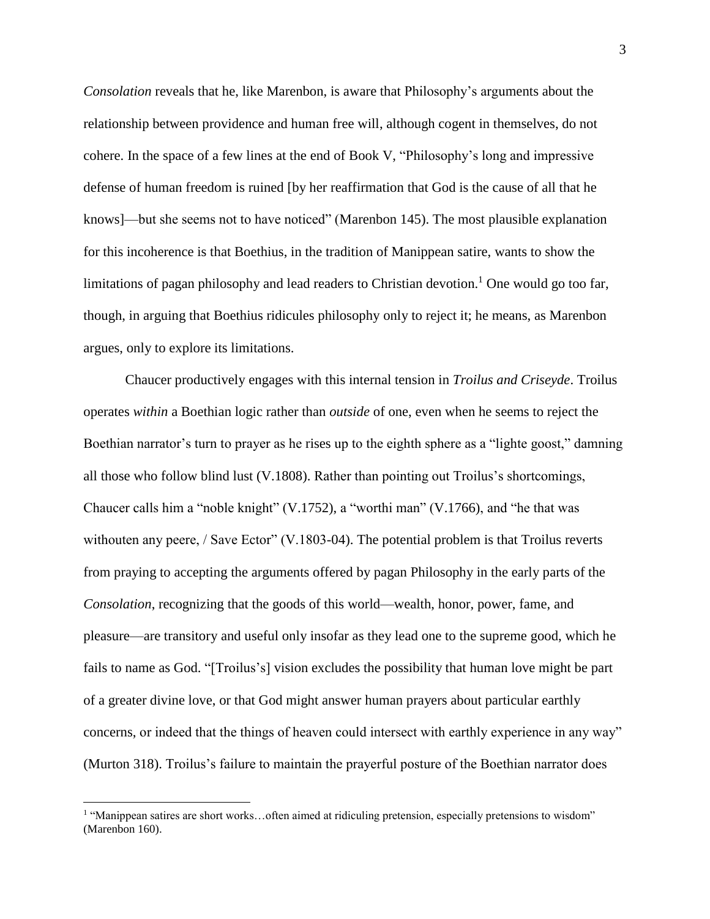*Consolation* reveals that he, like Marenbon, is aware that Philosophy's arguments about the relationship between providence and human free will, although cogent in themselves, do not cohere. In the space of a few lines at the end of Book V, "Philosophy's long and impressive defense of human freedom is ruined [by her reaffirmation that God is the cause of all that he knows]—but she seems not to have noticed" (Marenbon 145). The most plausible explanation for this incoherence is that Boethius, in the tradition of Manippean satire, wants to show the limitations of pagan philosophy and lead readers to Christian devotion.<sup>1</sup> One would go too far, though, in arguing that Boethius ridicules philosophy only to reject it; he means, as Marenbon argues, only to explore its limitations.

Chaucer productively engages with this internal tension in *Troilus and Criseyde*. Troilus operates *within* a Boethian logic rather than *outside* of one, even when he seems to reject the Boethian narrator's turn to prayer as he rises up to the eighth sphere as a "lighte goost," damning all those who follow blind lust (V.1808). Rather than pointing out Troilus's shortcomings, Chaucer calls him a "noble knight" (V.1752), a "worthi man" (V.1766), and "he that was withouten any peere, / Save Ector" (V.1803-04). The potential problem is that Troilus reverts from praying to accepting the arguments offered by pagan Philosophy in the early parts of the *Consolation*, recognizing that the goods of this world—wealth, honor, power, fame, and pleasure—are transitory and useful only insofar as they lead one to the supreme good, which he fails to name as God. "[Troilus's] vision excludes the possibility that human love might be part of a greater divine love, or that God might answer human prayers about particular earthly concerns, or indeed that the things of heaven could intersect with earthly experience in any way" (Murton 318). Troilus's failure to maintain the prayerful posture of the Boethian narrator does

 $\overline{a}$ 

<sup>&</sup>lt;sup>1</sup> "Manippean satires are short works...often aimed at ridiculing pretension, especially pretensions to wisdom" (Marenbon 160).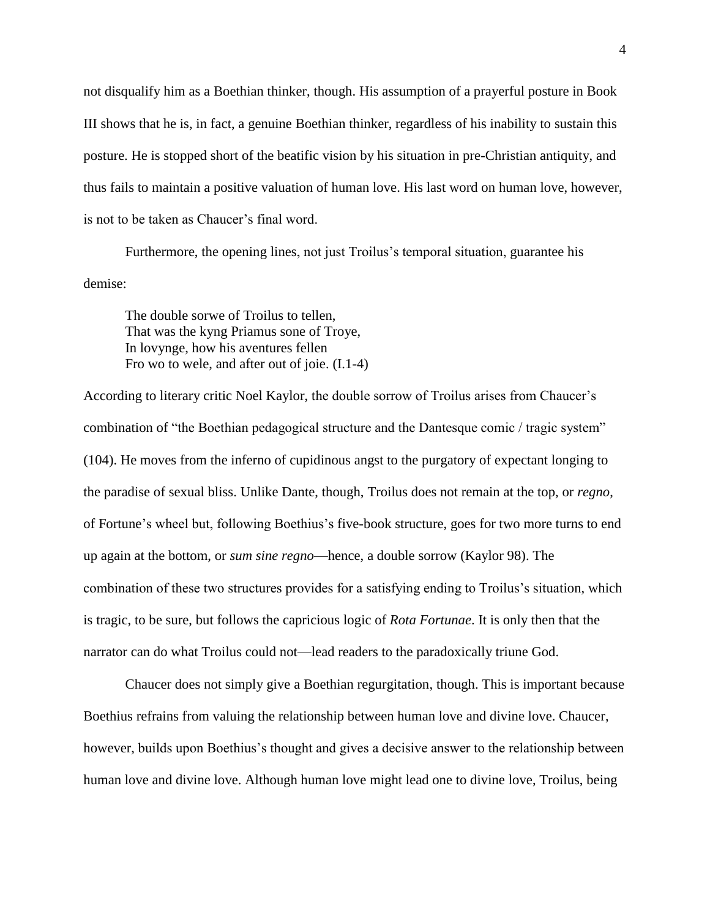not disqualify him as a Boethian thinker, though. His assumption of a prayerful posture in Book III shows that he is, in fact, a genuine Boethian thinker, regardless of his inability to sustain this posture. He is stopped short of the beatific vision by his situation in pre-Christian antiquity, and thus fails to maintain a positive valuation of human love. His last word on human love, however, is not to be taken as Chaucer's final word.

Furthermore, the opening lines, not just Troilus's temporal situation, guarantee his demise:

The double sorwe of Troilus to tellen, That was the kyng Priamus sone of Troye, In lovynge, how his aventures fellen Fro wo to wele, and after out of joie. (I.1-4)

According to literary critic Noel Kaylor, the double sorrow of Troilus arises from Chaucer's combination of "the Boethian pedagogical structure and the Dantesque comic / tragic system" (104). He moves from the inferno of cupidinous angst to the purgatory of expectant longing to the paradise of sexual bliss. Unlike Dante, though, Troilus does not remain at the top, or *regno*, of Fortune's wheel but, following Boethius's five-book structure, goes for two more turns to end up again at the bottom, or *sum sine regno*—hence, a double sorrow (Kaylor 98). The combination of these two structures provides for a satisfying ending to Troilus's situation, which is tragic, to be sure, but follows the capricious logic of *Rota Fortunae*. It is only then that the narrator can do what Troilus could not—lead readers to the paradoxically triune God.

Chaucer does not simply give a Boethian regurgitation, though. This is important because Boethius refrains from valuing the relationship between human love and divine love. Chaucer, however, builds upon Boethius's thought and gives a decisive answer to the relationship between human love and divine love. Although human love might lead one to divine love, Troilus, being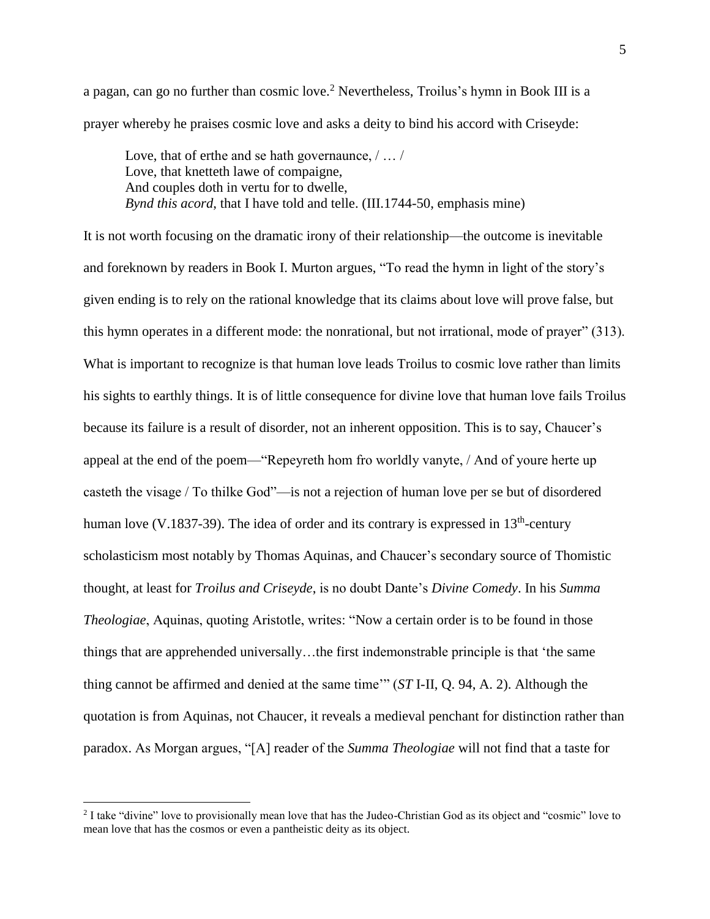a pagan, can go no further than cosmic love.<sup>2</sup> Nevertheless, Troilus's hymn in Book III is a prayer whereby he praises cosmic love and asks a deity to bind his accord with Criseyde:

Love, that of erthe and se hath governaunce,  $/ \ldots /$ Love, that knetteth lawe of compaigne, And couples doth in vertu for to dwelle, *Bynd this acord*, that I have told and telle. (III.1744-50, emphasis mine)

It is not worth focusing on the dramatic irony of their relationship—the outcome is inevitable and foreknown by readers in Book I. Murton argues, "To read the hymn in light of the story's given ending is to rely on the rational knowledge that its claims about love will prove false, but this hymn operates in a different mode: the nonrational, but not irrational, mode of prayer" (313). What is important to recognize is that human love leads Troilus to cosmic love rather than limits his sights to earthly things. It is of little consequence for divine love that human love fails Troilus because its failure is a result of disorder, not an inherent opposition. This is to say, Chaucer's appeal at the end of the poem—"Repeyreth hom fro worldly vanyte, / And of youre herte up casteth the visage / To thilke God"—is not a rejection of human love per se but of disordered human love (V.1837-39). The idea of order and its contrary is expressed in  $13<sup>th</sup>$ -century scholasticism most notably by Thomas Aquinas, and Chaucer's secondary source of Thomistic thought, at least for *Troilus and Criseyde*, is no doubt Dante's *Divine Comedy*. In his *Summa Theologiae*, Aquinas, quoting Aristotle, writes: "Now a certain order is to be found in those things that are apprehended universally…the first indemonstrable principle is that 'the same thing cannot be affirmed and denied at the same time'" (*ST* I-II, Q. 94, A. 2). Although the quotation is from Aquinas, not Chaucer, it reveals a medieval penchant for distinction rather than paradox. As Morgan argues, "[A] reader of the *Summa Theologiae* will not find that a taste for

 $\overline{a}$ 

<sup>&</sup>lt;sup>2</sup> I take "divine" love to provisionally mean love that has the Judeo-Christian God as its object and "cosmic" love to mean love that has the cosmos or even a pantheistic deity as its object.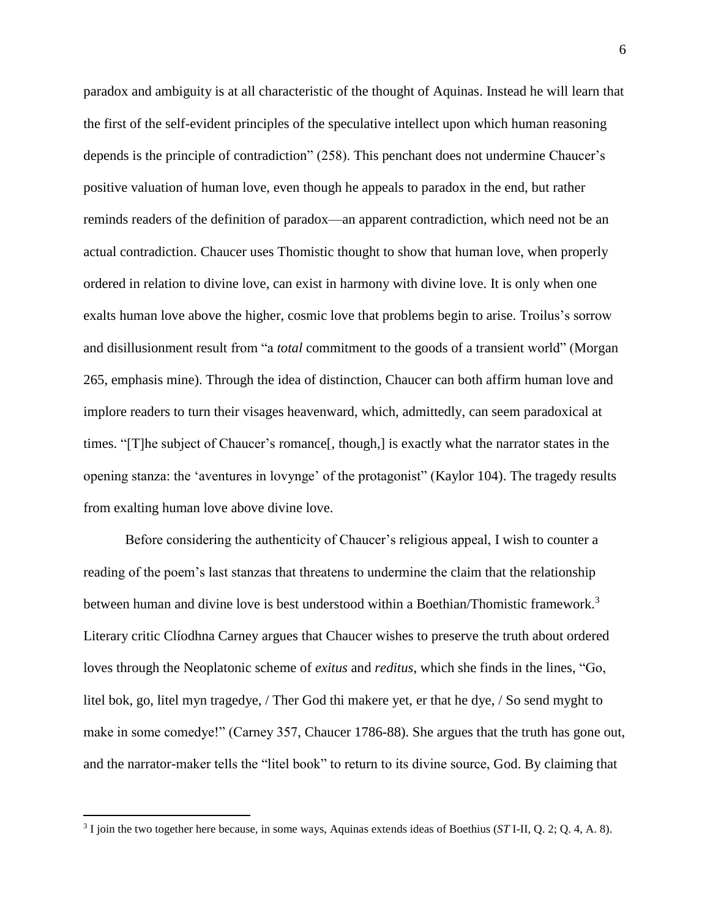paradox and ambiguity is at all characteristic of the thought of Aquinas. Instead he will learn that the first of the self-evident principles of the speculative intellect upon which human reasoning depends is the principle of contradiction" (258). This penchant does not undermine Chaucer's positive valuation of human love, even though he appeals to paradox in the end, but rather reminds readers of the definition of paradox—an apparent contradiction, which need not be an actual contradiction. Chaucer uses Thomistic thought to show that human love, when properly ordered in relation to divine love, can exist in harmony with divine love. It is only when one exalts human love above the higher, cosmic love that problems begin to arise. Troilus's sorrow and disillusionment result from "a *total* commitment to the goods of a transient world" (Morgan 265, emphasis mine). Through the idea of distinction, Chaucer can both affirm human love and implore readers to turn their visages heavenward, which, admittedly, can seem paradoxical at times. "[T]he subject of Chaucer's romance[, though,] is exactly what the narrator states in the opening stanza: the 'aventures in lovynge' of the protagonist" (Kaylor 104). The tragedy results from exalting human love above divine love.

Before considering the authenticity of Chaucer's religious appeal, I wish to counter a reading of the poem's last stanzas that threatens to undermine the claim that the relationship between human and divine love is best understood within a Boethian/Thomistic framework.<sup>3</sup> Literary critic Clíodhna Carney argues that Chaucer wishes to preserve the truth about ordered loves through the Neoplatonic scheme of *exitus* and *reditus*, which she finds in the lines, "Go, litel bok, go, litel myn tragedye, / Ther God thi makere yet, er that he dye, / So send myght to make in some comedye!" (Carney 357, Chaucer 1786-88). She argues that the truth has gone out, and the narrator-maker tells the "litel book" to return to its divine source, God. By claiming that

 $\overline{a}$ 

<sup>3</sup> I join the two together here because, in some ways, Aquinas extends ideas of Boethius (*ST* I-II, Q. 2; Q. 4, A. 8).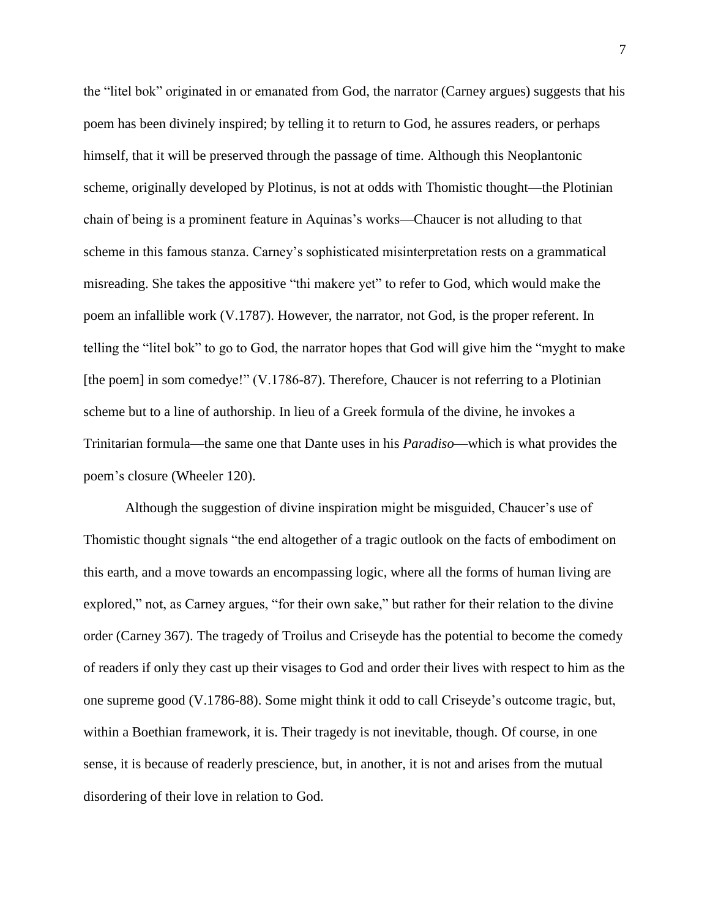the "litel bok" originated in or emanated from God, the narrator (Carney argues) suggests that his poem has been divinely inspired; by telling it to return to God, he assures readers, or perhaps himself, that it will be preserved through the passage of time. Although this Neoplantonic scheme, originally developed by Plotinus, is not at odds with Thomistic thought—the Plotinian chain of being is a prominent feature in Aquinas's works—Chaucer is not alluding to that scheme in this famous stanza. Carney's sophisticated misinterpretation rests on a grammatical misreading. She takes the appositive "thi makere yet" to refer to God, which would make the poem an infallible work (V.1787). However, the narrator, not God, is the proper referent. In telling the "litel bok" to go to God, the narrator hopes that God will give him the "myght to make [the poem] in som comedye!" (V.1786-87). Therefore, Chaucer is not referring to a Plotinian scheme but to a line of authorship. In lieu of a Greek formula of the divine, he invokes a Trinitarian formula—the same one that Dante uses in his *Paradiso*—which is what provides the poem's closure (Wheeler 120).

Although the suggestion of divine inspiration might be misguided, Chaucer's use of Thomistic thought signals "the end altogether of a tragic outlook on the facts of embodiment on this earth, and a move towards an encompassing logic, where all the forms of human living are explored," not, as Carney argues, "for their own sake," but rather for their relation to the divine order (Carney 367). The tragedy of Troilus and Criseyde has the potential to become the comedy of readers if only they cast up their visages to God and order their lives with respect to him as the one supreme good (V.1786-88). Some might think it odd to call Criseyde's outcome tragic, but, within a Boethian framework, it is. Their tragedy is not inevitable, though. Of course, in one sense, it is because of readerly prescience, but, in another, it is not and arises from the mutual disordering of their love in relation to God.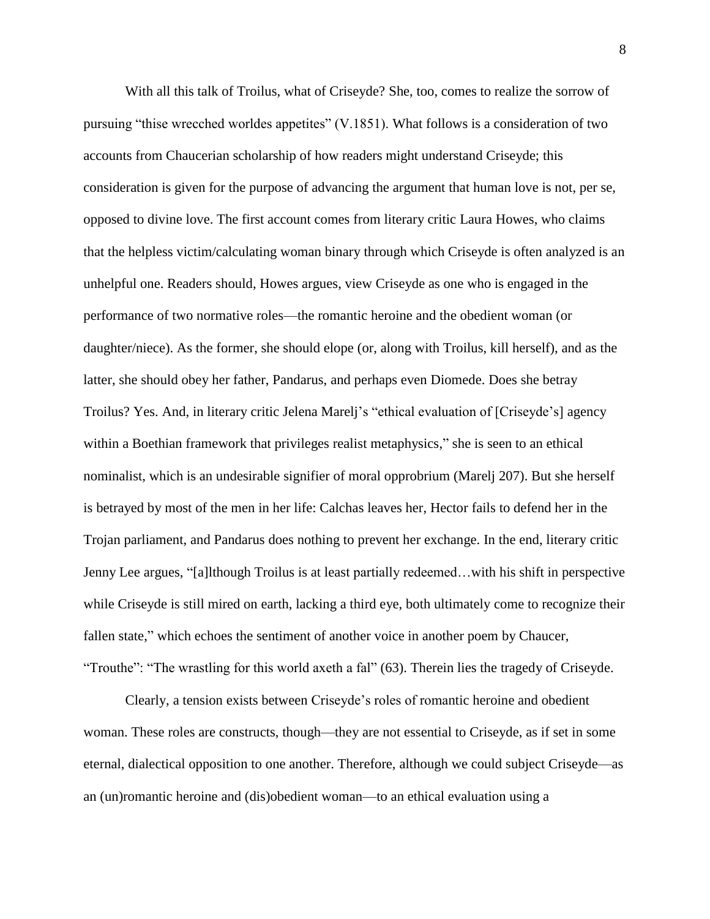With all this talk of Troilus, what of Criseyde? She, too, comes to realize the sorrow of pursuing "thise wrecched worldes appetites" (V.1851). What follows is a consideration of two accounts from Chaucerian scholarship of how readers might understand Criseyde; this consideration is given for the purpose of advancing the argument that human love is not, per se, opposed to divine love. The first account comes from literary critic Laura Howes, who claims that the helpless victim/calculating woman binary through which Criseyde is often analyzed is an unhelpful one. Readers should, Howes argues, view Criseyde as one who is engaged in the performance of two normative roles—the romantic heroine and the obedient woman (or daughter/niece). As the former, she should elope (or, along with Troilus, kill herself), and as the latter, she should obey her father, Pandarus, and perhaps even Diomede. Does she betray Troilus? Yes. And, in literary critic Jelena Marelj's "ethical evaluation of [Criseyde's] agency within a Boethian framework that privileges realist metaphysics," she is seen to an ethical nominalist, which is an undesirable signifier of moral opprobrium (Marelj 207). But she herself is betrayed by most of the men in her life: Calchas leaves her, Hector fails to defend her in the Trojan parliament, and Pandarus does nothing to prevent her exchange. In the end, literary critic Jenny Lee argues, "[a]lthough Troilus is at least partially redeemed…with his shift in perspective while Criseyde is still mired on earth, lacking a third eye, both ultimately come to recognize their fallen state," which echoes the sentiment of another voice in another poem by Chaucer, "Trouthe": "The wrastling for this world axeth a fal" (63). Therein lies the tragedy of Criseyde.

Clearly, a tension exists between Criseyde's roles of romantic heroine and obedient woman. These roles are constructs, though—they are not essential to Criseyde, as if set in some eternal, dialectical opposition to one another. Therefore, although we could subject Criseyde—as an (un)romantic heroine and (dis)obedient woman—to an ethical evaluation using a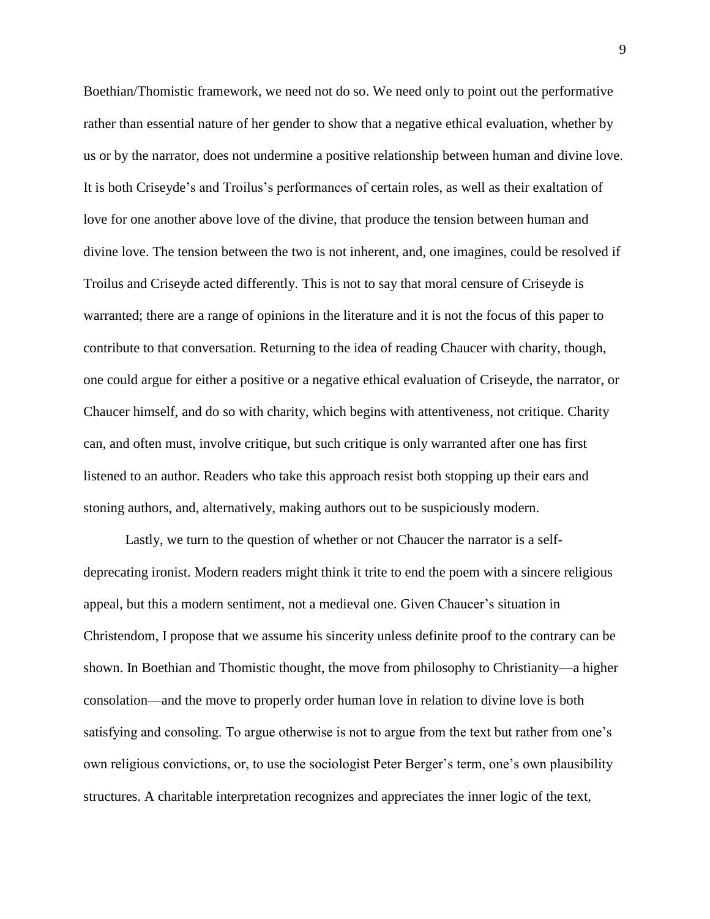Boethian/Thomistic framework, we need not do so. We need only to point out the performative rather than essential nature of her gender to show that a negative ethical evaluation, whether by us or by the narrator, does not undermine a positive relationship between human and divine love. It is both Criseyde's and Troilus's performances of certain roles, as well as their exaltation of love for one another above love of the divine, that produce the tension between human and divine love. The tension between the two is not inherent, and, one imagines, could be resolved if Troilus and Criseyde acted differently. This is not to say that moral censure of Criseyde is warranted; there are a range of opinions in the literature and it is not the focus of this paper to contribute to that conversation. Returning to the idea of reading Chaucer with charity, though, one could argue for either a positive or a negative ethical evaluation of Criseyde, the narrator, or Chaucer himself, and do so with charity, which begins with attentiveness, not critique. Charity can, and often must, involve critique, but such critique is only warranted after one has first listened to an author. Readers who take this approach resist both stopping up their ears and stoning authors, and, alternatively, making authors out to be suspiciously modern.

Lastly, we turn to the question of whether or not Chaucer the narrator is a selfdeprecating ironist. Modern readers might think it trite to end the poem with a sincere religious appeal, but this a modern sentiment, not a medieval one. Given Chaucer's situation in Christendom, I propose that we assume his sincerity unless definite proof to the contrary can be shown. In Boethian and Thomistic thought, the move from philosophy to Christianity—a higher consolation—and the move to properly order human love in relation to divine love is both satisfying and consoling. To argue otherwise is not to argue from the text but rather from one's own religious convictions, or, to use the sociologist Peter Berger's term, one's own plausibility structures. A charitable interpretation recognizes and appreciates the inner logic of the text,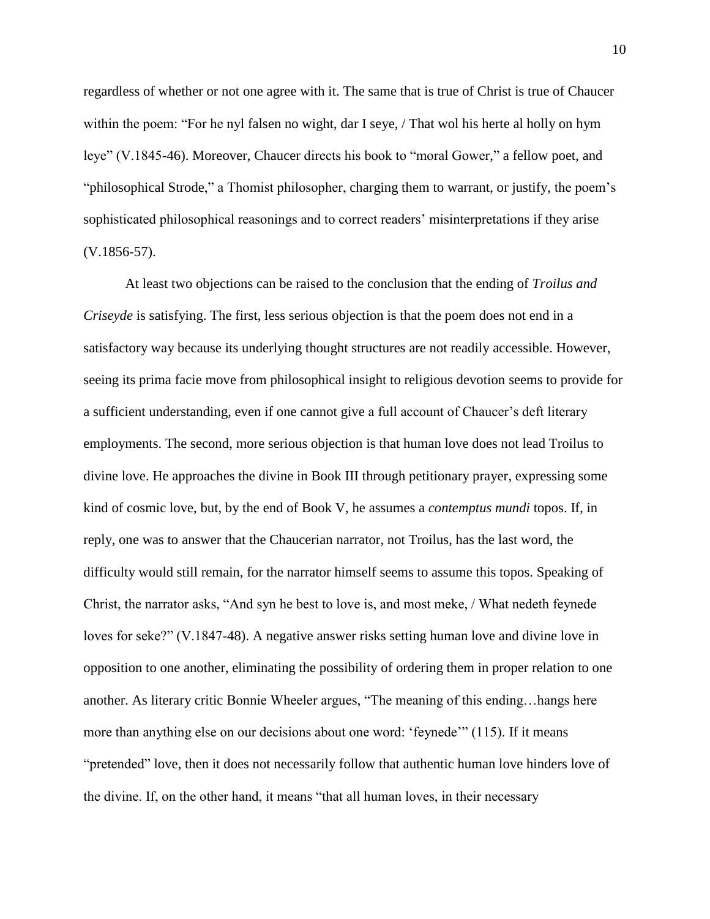regardless of whether or not one agree with it. The same that is true of Christ is true of Chaucer within the poem: "For he nyl falsen no wight, dar I seye, / That wol his herte al holly on hym leye" (V.1845-46). Moreover, Chaucer directs his book to "moral Gower," a fellow poet, and "philosophical Strode," a Thomist philosopher, charging them to warrant, or justify, the poem's sophisticated philosophical reasonings and to correct readers' misinterpretations if they arise (V.1856-57).

At least two objections can be raised to the conclusion that the ending of *Troilus and Criseyde* is satisfying. The first, less serious objection is that the poem does not end in a satisfactory way because its underlying thought structures are not readily accessible. However, seeing its prima facie move from philosophical insight to religious devotion seems to provide for a sufficient understanding, even if one cannot give a full account of Chaucer's deft literary employments. The second, more serious objection is that human love does not lead Troilus to divine love. He approaches the divine in Book III through petitionary prayer, expressing some kind of cosmic love, but, by the end of Book V, he assumes a *contemptus mundi* topos. If, in reply, one was to answer that the Chaucerian narrator, not Troilus, has the last word, the difficulty would still remain, for the narrator himself seems to assume this topos. Speaking of Christ, the narrator asks, "And syn he best to love is, and most meke, / What nedeth feynede loves for seke?" (V.1847-48). A negative answer risks setting human love and divine love in opposition to one another, eliminating the possibility of ordering them in proper relation to one another. As literary critic Bonnie Wheeler argues, "The meaning of this ending…hangs here more than anything else on our decisions about one word: 'feynede'" (115). If it means "pretended" love, then it does not necessarily follow that authentic human love hinders love of the divine. If, on the other hand, it means "that all human loves, in their necessary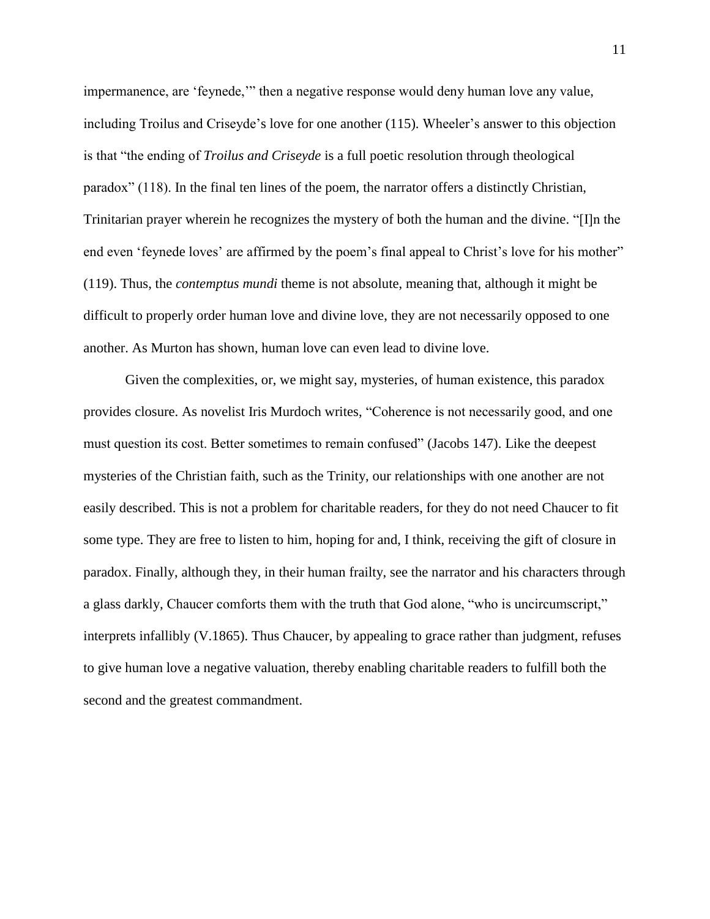impermanence, are 'feynede,'" then a negative response would deny human love any value, including Troilus and Criseyde's love for one another (115). Wheeler's answer to this objection is that "the ending of *Troilus and Criseyde* is a full poetic resolution through theological paradox" (118). In the final ten lines of the poem, the narrator offers a distinctly Christian, Trinitarian prayer wherein he recognizes the mystery of both the human and the divine. "[I]n the end even 'feynede loves' are affirmed by the poem's final appeal to Christ's love for his mother" (119). Thus, the *contemptus mundi* theme is not absolute, meaning that, although it might be difficult to properly order human love and divine love, they are not necessarily opposed to one another. As Murton has shown, human love can even lead to divine love.

Given the complexities, or, we might say, mysteries, of human existence, this paradox provides closure. As novelist Iris Murdoch writes, "Coherence is not necessarily good, and one must question its cost. Better sometimes to remain confused" (Jacobs 147). Like the deepest mysteries of the Christian faith, such as the Trinity, our relationships with one another are not easily described. This is not a problem for charitable readers, for they do not need Chaucer to fit some type. They are free to listen to him, hoping for and, I think, receiving the gift of closure in paradox. Finally, although they, in their human frailty, see the narrator and his characters through a glass darkly, Chaucer comforts them with the truth that God alone, "who is uncircumscript," interprets infallibly (V.1865). Thus Chaucer, by appealing to grace rather than judgment, refuses to give human love a negative valuation, thereby enabling charitable readers to fulfill both the second and the greatest commandment.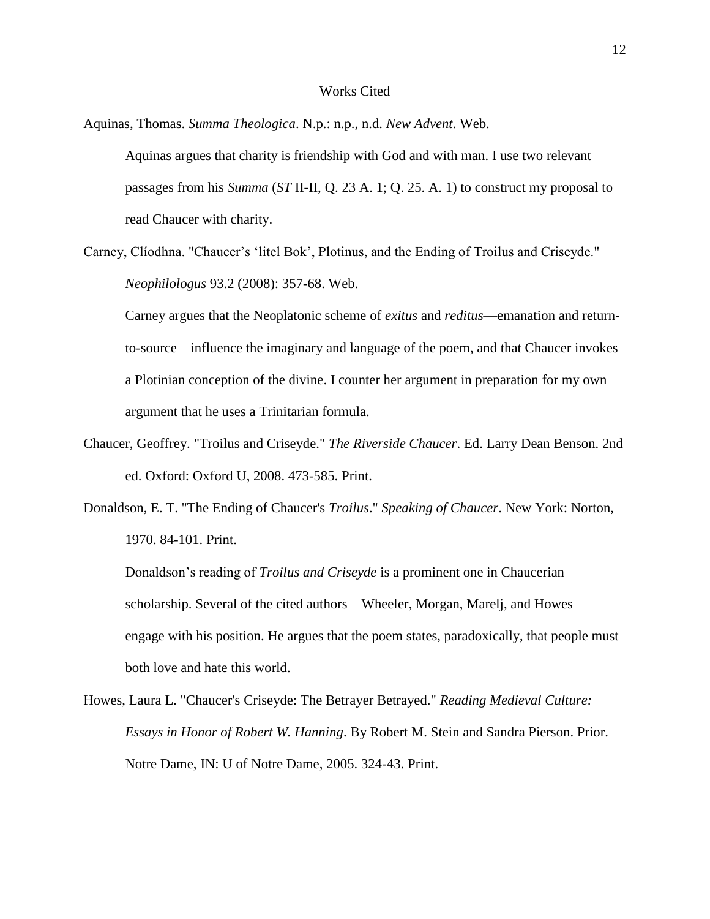#### Works Cited

Aquinas, Thomas. *Summa Theologica*. N.p.: n.p., n.d. *New Advent*. Web.

Aquinas argues that charity is friendship with God and with man. I use two relevant passages from his *Summa* (*ST* II-II, Q. 23 A. 1; Q. 25. A. 1) to construct my proposal to read Chaucer with charity.

Carney, Clíodhna. "Chaucer's 'litel Bok', Plotinus, and the Ending of Troilus and Criseyde." *Neophilologus* 93.2 (2008): 357-68. Web.

Carney argues that the Neoplatonic scheme of *exitus* and *reditus*—emanation and returnto-source—influence the imaginary and language of the poem, and that Chaucer invokes a Plotinian conception of the divine. I counter her argument in preparation for my own argument that he uses a Trinitarian formula.

- Chaucer, Geoffrey. "Troilus and Criseyde." *The Riverside Chaucer*. Ed. Larry Dean Benson. 2nd ed. Oxford: Oxford U, 2008. 473-585. Print.
- Donaldson, E. T. "The Ending of Chaucer's *Troilus*." *Speaking of Chaucer*. New York: Norton, 1970. 84-101. Print.

Donaldson's reading of *Troilus and Criseyde* is a prominent one in Chaucerian scholarship. Several of the cited authors—Wheeler, Morgan, Marelj, and Howes engage with his position. He argues that the poem states, paradoxically, that people must both love and hate this world.

Howes, Laura L. "Chaucer's Criseyde: The Betrayer Betrayed." *Reading Medieval Culture: Essays in Honor of Robert W. Hanning*. By Robert M. Stein and Sandra Pierson. Prior. Notre Dame, IN: U of Notre Dame, 2005. 324-43. Print.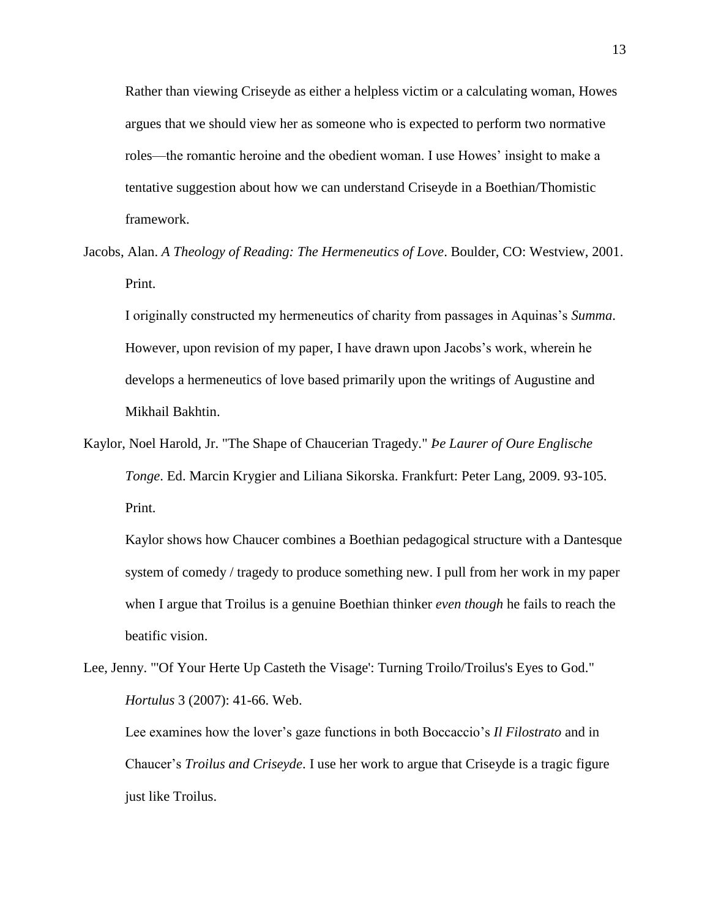Rather than viewing Criseyde as either a helpless victim or a calculating woman, Howes argues that we should view her as someone who is expected to perform two normative roles—the romantic heroine and the obedient woman. I use Howes' insight to make a tentative suggestion about how we can understand Criseyde in a Boethian/Thomistic framework.

Jacobs, Alan. *A Theology of Reading: The Hermeneutics of Love*. Boulder, CO: Westview, 2001. Print.

I originally constructed my hermeneutics of charity from passages in Aquinas's *Summa*. However, upon revision of my paper, I have drawn upon Jacobs's work, wherein he develops a hermeneutics of love based primarily upon the writings of Augustine and Mikhail Bakhtin.

Kaylor, Noel Harold, Jr. "The Shape of Chaucerian Tragedy." *Þe Laurer of Oure Englische Tonge*. Ed. Marcin Krygier and Liliana Sikorska. Frankfurt: Peter Lang, 2009. 93-105. Print.

Kaylor shows how Chaucer combines a Boethian pedagogical structure with a Dantesque system of comedy / tragedy to produce something new. I pull from her work in my paper when I argue that Troilus is a genuine Boethian thinker *even though* he fails to reach the beatific vision.

Lee, Jenny. "'Of Your Herte Up Casteth the Visage': Turning Troilo/Troilus's Eyes to God." *Hortulus* 3 (2007): 41-66. Web.

Lee examines how the lover's gaze functions in both Boccaccio's *Il Filostrato* and in Chaucer's *Troilus and Criseyde*. I use her work to argue that Criseyde is a tragic figure just like Troilus.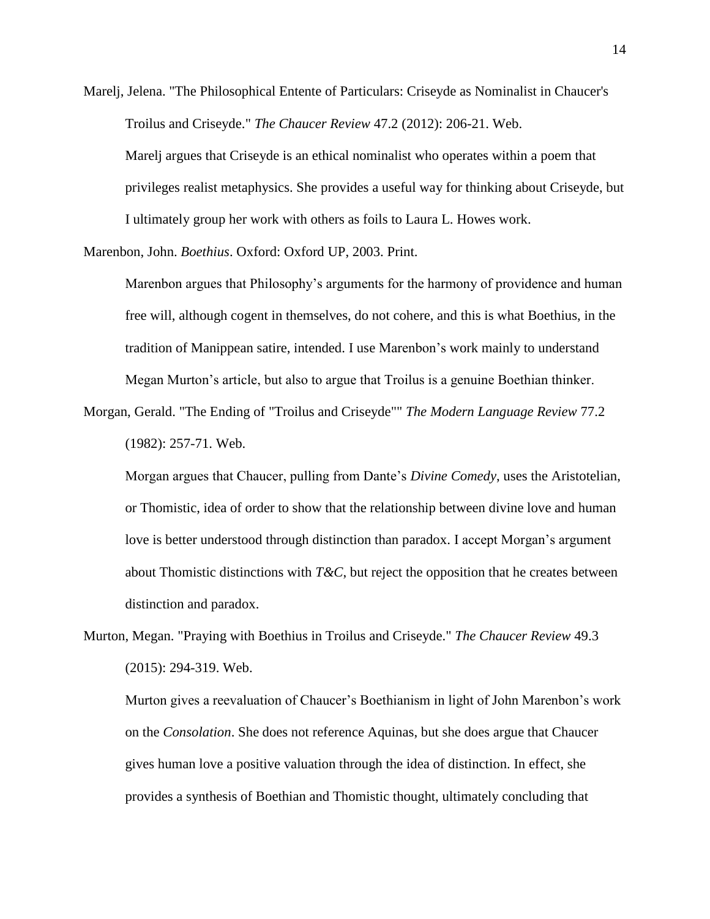Marelj, Jelena. "The Philosophical Entente of Particulars: Criseyde as Nominalist in Chaucer's Troilus and Criseyde." *The Chaucer Review* 47.2 (2012): 206-21. Web. Marelj argues that Criseyde is an ethical nominalist who operates within a poem that

privileges realist metaphysics. She provides a useful way for thinking about Criseyde, but I ultimately group her work with others as foils to Laura L. Howes work.

Marenbon, John. *Boethius*. Oxford: Oxford UP, 2003. Print.

Marenbon argues that Philosophy's arguments for the harmony of providence and human free will, although cogent in themselves, do not cohere, and this is what Boethius, in the tradition of Manippean satire, intended. I use Marenbon's work mainly to understand Megan Murton's article, but also to argue that Troilus is a genuine Boethian thinker.

Morgan, Gerald. "The Ending of "Troilus and Criseyde"" *The Modern Language Review* 77.2 (1982): 257-71. Web.

Morgan argues that Chaucer, pulling from Dante's *Divine Comedy*, uses the Aristotelian, or Thomistic, idea of order to show that the relationship between divine love and human love is better understood through distinction than paradox. I accept Morgan's argument about Thomistic distinctions with  $T\&C$ , but reject the opposition that he creates between distinction and paradox.

Murton, Megan. "Praying with Boethius in Troilus and Criseyde." *The Chaucer Review* 49.3 (2015): 294-319. Web.

Murton gives a reevaluation of Chaucer's Boethianism in light of John Marenbon's work on the *Consolation*. She does not reference Aquinas, but she does argue that Chaucer gives human love a positive valuation through the idea of distinction. In effect, she provides a synthesis of Boethian and Thomistic thought, ultimately concluding that